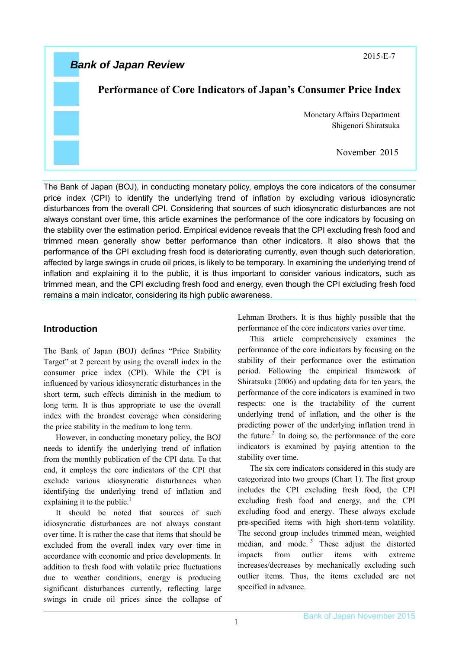2015-E-7

# *Bank of Japan Review*

# **Performance of Core Indicators of Japan's Consumer Price Index**

Monetary Affairs Department Shigenori Shiratsuka

November 2015

The Bank of Japan (BOJ), in conducting monetary policy, employs the core indicators of the consumer price index (CPI) to identify the underlying trend of inflation by excluding various idiosyncratic disturbances from the overall CPI. Considering that sources of such idiosyncratic disturbances are not always constant over time, this article examines the performance of the core indicators by focusing on the stability over the estimation period. Empirical evidence reveals that the CPI excluding fresh food and trimmed mean generally show better performance than other indicators. It also shows that the performance of the CPI excluding fresh food is deteriorating currently, even though such deterioration, affected by large swings in crude oil prices, is likely to be temporary. In examining the underlying trend of inflation and explaining it to the public, it is thus important to consider various indicators, such as trimmed mean, and the CPI excluding fresh food and energy, even though the CPI excluding fresh food remains a main indicator, considering its high public awareness.

# **Introduction**

The Bank of Japan (BOJ) defines "Price Stability Target" at 2 percent by using the overall index in the consumer price index (CPI). While the CPI is influenced by various idiosyncratic disturbances in the short term, such effects diminish in the medium to long term. It is thus appropriate to use the overall index with the broadest coverage when considering the price stability in the medium to long term.

However, in conducting monetary policy, the BOJ needs to identify the underlying trend of inflation from the monthly publication of the CPI data. To that end, it employs the core indicators of the CPI that exclude various idiosyncratic disturbances when identifying the underlying trend of inflation and explaining it to the public. $<sup>1</sup>$ </sup>

It should be noted that sources of such idiosyncratic disturbances are not always constant over time. It is rather the case that items that should be excluded from the overall index vary over time in accordance with economic and price developments. In addition to fresh food with volatile price fluctuations due to weather conditions, energy is producing significant disturbances currently, reflecting large swings in crude oil prices since the collapse of Lehman Brothers. It is thus highly possible that the performance of the core indicators varies over time.

This article comprehensively examines the performance of the core indicators by focusing on the stability of their performance over the estimation period. Following the empirical framework of Shiratsuka (2006) and updating data for ten years, the performance of the core indicators is examined in two respects: one is the tractability of the current underlying trend of inflation, and the other is the predicting power of the underlying inflation trend in the future. $^{2}$  In doing so, the performance of the core indicators is examined by paying attention to the stability over time.

The six core indicators considered in this study are categorized into two groups (Chart 1). The first group includes the CPI excluding fresh food, the CPI excluding fresh food and energy, and the CPI excluding food and energy. These always exclude pre-specified items with high short-term volatility. The second group includes trimmed mean, weighted median, and mode.<sup>3</sup> These adjust the distorted impacts from outlier items with extreme increases/decreases by mechanically excluding such outlier items. Thus, the items excluded are not specified in advance.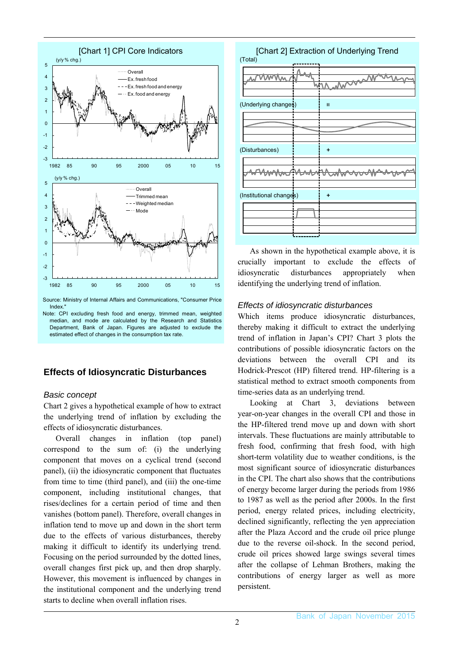

Index.

# **Effects of Idiosyncratic Disturbances**

## *Basic concept*

Chart 2 gives a hypothetical example of how to extract the underlying trend of inflation by excluding the effects of idiosyncratic disturbances.

Overall changes in inflation (top panel) correspond to the sum of: (i) the underlying component that moves on a cyclical trend (second panel), (ii) the idiosyncratic component that fluctuates from time to time (third panel), and (iii) the one-time component, including institutional changes, that rises/declines for a certain period of time and then vanishes (bottom panel). Therefore, overall changes in inflation tend to move up and down in the short term due to the effects of various disturbances, thereby making it difficult to identify its underlying trend. Focusing on the period surrounded by the dotted lines, overall changes first pick up, and then drop sharply. However, this movement is influenced by changes in the institutional component and the underlying trend starts to decline when overall inflation rises.

| (Total)                 | [Chart 2] Extraction of Underlying Trend |
|-------------------------|------------------------------------------|
|                         |                                          |
| (Underlying changes)    | $\mathbf{I}$                             |
|                         |                                          |
| (Disturbances)          | ٠                                        |
|                         |                                          |
| (Institutional changes) | ٠                                        |
|                         |                                          |
|                         |                                          |

As shown in the hypothetical example above, it is crucially important to exclude the effects of idiosyncratic disturbances appropriately when identifying the underlying trend of inflation.

### *Effects of idiosyncratic disturbances*

Which items produce idiosyncratic disturbances, thereby making it difficult to extract the underlying trend of inflation in Japan's CPI? Chart 3 plots the contributions of possible idiosyncratic factors on the deviations between the overall CPI and its Hodrick-Prescot (HP) filtered trend. HP-filtering is a statistical method to extract smooth components from time-series data as an underlying trend.

Looking at Chart 3, deviations between year-on-year changes in the overall CPI and those in the HP-filtered trend move up and down with short intervals. These fluctuations are mainly attributable to fresh food, confirming that fresh food, with high short-term volatility due to weather conditions, is the most significant source of idiosyncratic disturbances in the CPI. The chart also shows that the contributions of energy become larger during the periods from 1986 to 1987 as well as the period after 2000s. In the first period, energy related prices, including electricity, declined significantly, reflecting the yen appreciation after the Plaza Accord and the crude oil price plunge due to the reverse oil-shock. In the second period, crude oil prices showed large swings several times after the collapse of Lehman Brothers, making the contributions of energy larger as well as more persistent.

Note: CPI excluding fresh food and energy, trimmed mean, weighted median, and mode are calculated by the Research and Statistics Department, Bank of Japan. Figures are adjusted to exclude the estimated effect of changes in the consumption tax rate.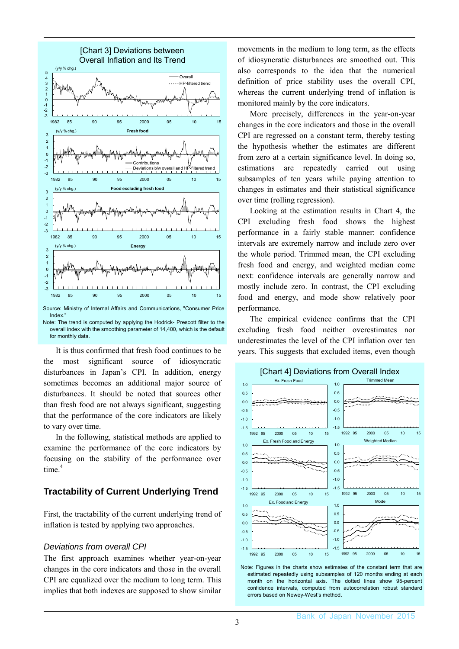

Index."

Note: The trend is computed by applying the Hodrick- Prescott filter to the overall index with the smoothing parameter of 14,400, which is the default for monthly data.

It is thus confirmed that fresh food continues to be the most significant source of idiosyncratic disturbances in Japan's CPI. In addition, energy sometimes becomes an additional major source of disturbances. It should be noted that sources other than fresh food are not always significant, suggesting that the performance of the core indicators are likely to vary over time.

In the following, statistical methods are applied to examine the performance of the core indicators by focusing on the stability of the performance over time<sup>4</sup>

## **Tractability of Current Underlying Trend**

First, the tractability of the current underlying trend of inflation is tested by applying two approaches.

#### *Deviations from overall CPI*

The first approach examines whether year-on-year changes in the core indicators and those in the overall CPI are equalized over the medium to long term. This implies that both indexes are supposed to show similar movements in the medium to long term, as the effects of idiosyncratic disturbances are smoothed out. This also corresponds to the idea that the numerical definition of price stability uses the overall CPI, whereas the current underlying trend of inflation is monitored mainly by the core indicators.

More precisely, differences in the year-on-year changes in the core indicators and those in the overall CPI are regressed on a constant term, thereby testing the hypothesis whether the estimates are different from zero at a certain significance level. In doing so, estimations are repeatedly carried out using subsamples of ten years while paying attention to changes in estimates and their statistical significance over time (rolling regression).

Looking at the estimation results in Chart 4, the CPI excluding fresh food shows the highest performance in a fairly stable manner: confidence intervals are extremely narrow and include zero over the whole period. Trimmed mean, the CPI excluding fresh food and energy, and weighted median come next: confidence intervals are generally narrow and mostly include zero. In contrast, the CPI excluding food and energy, and mode show relatively poor performance.

The empirical evidence confirms that the CPI excluding fresh food neither overestimates nor underestimates the level of the CPI inflation over ten years. This suggests that excluded items, even though



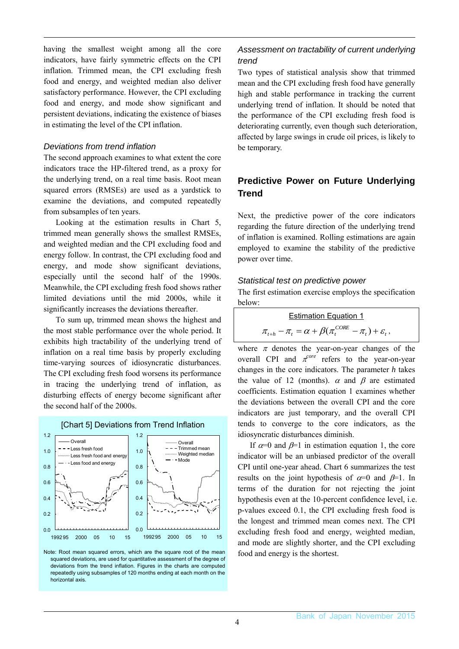having the smallest weight among all the core indicators, have fairly symmetric effects on the CPI inflation. Trimmed mean, the CPI excluding fresh food and energy, and weighted median also deliver satisfactory performance. However, the CPI excluding food and energy, and mode show significant and persistent deviations, indicating the existence of biases in estimating the level of the CPI inflation.

#### *Deviations from trend inflation*

The second approach examines to what extent the core indicators trace the HP-filtered trend, as a proxy for the underlying trend, on a real time basis. Root mean squared errors (RMSEs) are used as a yardstick to examine the deviations, and computed repeatedly from subsamples of ten years.

Looking at the estimation results in Chart 5, trimmed mean generally shows the smallest RMSEs, and weighted median and the CPI excluding food and energy follow. In contrast, the CPI excluding food and energy, and mode show significant deviations, especially until the second half of the 1990s. Meanwhile, the CPI excluding fresh food shows rather limited deviations until the mid 2000s, while it significantly increases the deviations thereafter.

To sum up, trimmed mean shows the highest and the most stable performance over the whole period. It exhibits high tractability of the underlying trend of inflation on a real time basis by properly excluding time-varying sources of idiosyncratic disturbances. The CPI excluding fresh food worsens its performance in tracing the underlying trend of inflation, as disturbing effects of energy become significant after the second half of the 2000s.

#### [Chart 5] Deviations from Trend Inflation



Note: Root mean squared errors, which are the square root of the mean squared deviations, are used for quantitative assessment of the degree of deviations from the trend inflation. Figures in the charts are computed repeatedly using subsamples of 120 months ending at each month on the horizontal axis.

### *Assessment on tractability of current underlying trend*

Two types of statistical analysis show that trimmed mean and the CPI excluding fresh food have generally high and stable performance in tracking the current underlying trend of inflation. It should be noted that the performance of the CPI excluding fresh food is deteriorating currently, even though such deterioration, affected by large swings in crude oil prices, is likely to be temporary.

# **Predictive Power on Future Underlying Trend**

Next, the predictive power of the core indicators regarding the future direction of the underlying trend of inflation is examined. Rolling estimations are again employed to examine the stability of the predictive power over time.

#### *Statistical test on predictive power*

The first estimation exercise employs the specification below:

| <b>Estimation Equation 1</b>                                               |  |
|----------------------------------------------------------------------------|--|
| $\pi_{t+h} - \pi_t = \alpha + \beta(\pi_t^{CORE} - \pi_t) + \varepsilon_t$ |  |

where  $\pi$  denotes the year-on-year changes of the overall CPI and  $\pi^{core}$  refers to the year-on-year changes in the core indicators. The parameter *h* takes the value of 12 (months).  $\alpha$  and  $\beta$  are estimated coefficients. Estimation equation 1 examines whether the deviations between the overall CPI and the core indicators are just temporary, and the overall CPI tends to converge to the core indicators, as the idiosyncratic disturbances diminish.

If  $\alpha=0$  and  $\beta=1$  in estimation equation 1, the core indicator will be an unbiased predictor of the overall CPI until one-year ahead. Chart 6 summarizes the test results on the joint hypothesis of  $\alpha=0$  and  $\beta=1$ . In terms of the duration for not rejecting the joint hypothesis even at the 10-percent confidence level, i.e. p-values exceed 0.1, the CPI excluding fresh food is the longest and trimmed mean comes next. The CPI excluding fresh food and energy, weighted median, and mode are slightly shorter, and the CPI excluding food and energy is the shortest.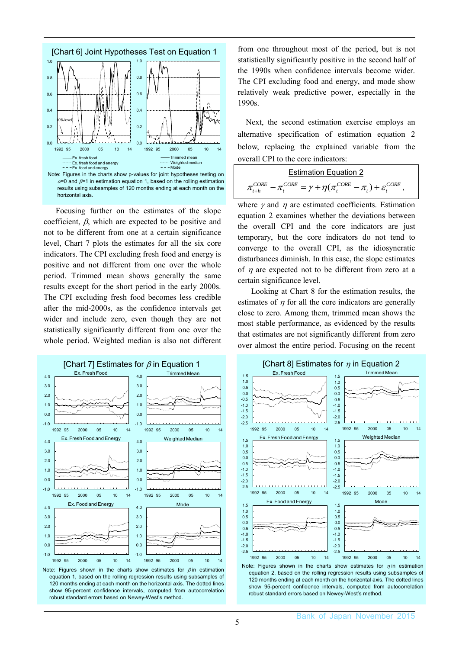

Focusing further on the estimates of the slope coefficient,  $\beta$ , which are expected to be positive and not to be different from one at a certain significance level, Chart 7 plots the estimates for all the six core indicators. The CPI excluding fresh food and energy is positive and not different from one over the whole period. Trimmed mean shows generally the same results except for the short period in the early 2000s. The CPI excluding fresh food becomes less credible after the mid-2000s, as the confidence intervals get wider and include zero, even though they are not statistically significantly different from one over the whole period. Weighted median is also not different



Note: Figures shown in the charts show estimates for  $\beta$  in estimation equation 1, based on the rolling regression results using subsamples of 120 months ending at each month on the horizontal axis. The dotted lines show 95-percent confidence intervals, computed from autocorrelation robust standard errors based on Newey-West's method.

from one throughout most of the period, but is not statistically significantly positive in the second half of the 1990s when confidence intervals become wider. The CPI excluding food and energy, and mode show relatively weak predictive power, especially in the 1990s.

Next, the second estimation exercise employs an alternative specification of estimation equation 2 below, replacing the explained variable from the overall CPI to the core indicators:

| <b>Estimation Equation 2</b>                                                                    |  |
|-------------------------------------------------------------------------------------------------|--|
| $\pi_{t+h}^{CORE} - \pi_t^{CORE} = \gamma + \eta(\pi_t^{CORE} - \pi_t) + \varepsilon_t^{CORE},$ |  |

where  $\gamma$  and  $\eta$  are estimated coefficients. Estimation equation 2 examines whether the deviations between the overall CPI and the core indicators are just temporary, but the core indicators do not tend to converge to the overall CPI, as the idiosyncratic disturbances diminish. In this case, the slope estimates of  $\eta$  are expected not to be different from zero at a certain significance level.

Looking at Chart 8 for the estimation results, the estimates of  $\eta$  for all the core indicators are generally close to zero. Among them, trimmed mean shows the most stable performance, as evidenced by the results that estimates are not significantly different from zero over almost the entire period. Focusing on the recent



robust standard errors based on Newey-West's method.